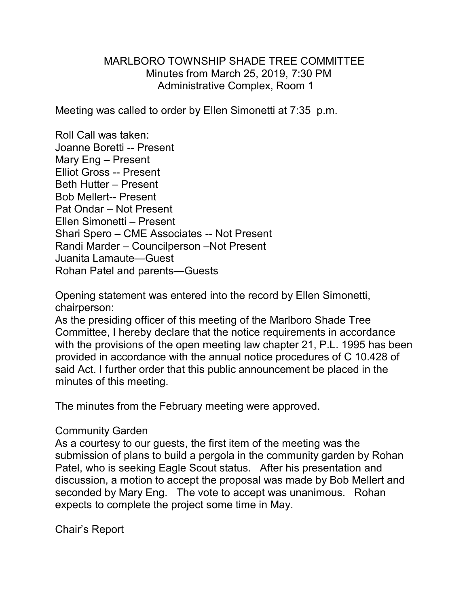## MARLBORO TOWNSHIP SHADE TREE COMMITTEE Minutes from March 25, 2019, 7:30 PM Administrative Complex, Room 1

Meeting was called to order by Ellen Simonetti at 7:35 p.m.

Roll Call was taken: Joanne Boretti -- Present Mary Eng – Present Elliot Gross -- Present Beth Hutter – Present Bob Mellert-- Present Pat Ondar – Not Present Ellen Simonetti – Present Shari Spero – CME Associates -- Not Present Randi Marder – Councilperson –Not Present Juanita Lamaute—Guest Rohan Patel and parents—Guests

Opening statement was entered into the record by Ellen Simonetti, chairperson:

As the presiding officer of this meeting of the Marlboro Shade Tree Committee, I hereby declare that the notice requirements in accordance with the provisions of the open meeting law chapter 21, P.L. 1995 has been provided in accordance with the annual notice procedures of C 10.428 of said Act. I further order that this public announcement be placed in the minutes of this meeting.

The minutes from the February meeting were approved.

## Community Garden

As a courtesy to our guests, the first item of the meeting was the submission of plans to build a pergola in the community garden by Rohan Patel, who is seeking Eagle Scout status. After his presentation and discussion, a motion to accept the proposal was made by Bob Mellert and seconded by Mary Eng. The vote to accept was unanimous. Rohan expects to complete the project some time in May.

Chair's Report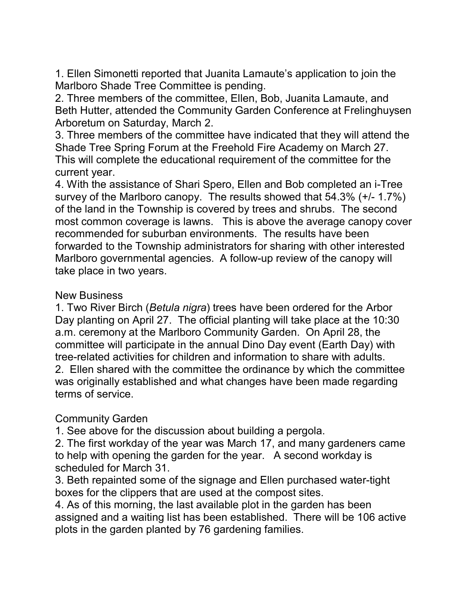1. Ellen Simonetti reported that Juanita Lamaute's application to join the Marlboro Shade Tree Committee is pending.

2. Three members of the committee, Ellen, Bob, Juanita Lamaute, and Beth Hutter, attended the Community Garden Conference at Frelinghuysen Arboretum on Saturday, March 2.

3. Three members of the committee have indicated that they will attend the Shade Tree Spring Forum at the Freehold Fire Academy on March 27. This will complete the educational requirement of the committee for the current year.

4. With the assistance of Shari Spero, Ellen and Bob completed an i-Tree survey of the Marlboro canopy. The results showed that 54.3% (+/- 1.7%) of the land in the Township is covered by trees and shrubs. The second most common coverage is lawns. This is above the average canopy cover recommended for suburban environments. The results have been forwarded to the Township administrators for sharing with other interested Marlboro governmental agencies. A follow-up review of the canopy will take place in two years.

## New Business

1. Two River Birch (*Betula nigra*) trees have been ordered for the Arbor Day planting on April 27. The official planting will take place at the 10:30 a.m. ceremony at the Marlboro Community Garden. On April 28, the committee will participate in the annual Dino Day event (Earth Day) with tree-related activities for children and information to share with adults. 2. Ellen shared with the committee the ordinance by which the committee was originally established and what changes have been made regarding terms of service.

## Community Garden

1. See above for the discussion about building a pergola.

2. The first workday of the year was March 17, and many gardeners came to help with opening the garden for the year. A second workday is scheduled for March 31.

3. Beth repainted some of the signage and Ellen purchased water-tight boxes for the clippers that are used at the compost sites.

4. As of this morning, the last available plot in the garden has been assigned and a waiting list has been established. There will be 106 active plots in the garden planted by 76 gardening families.